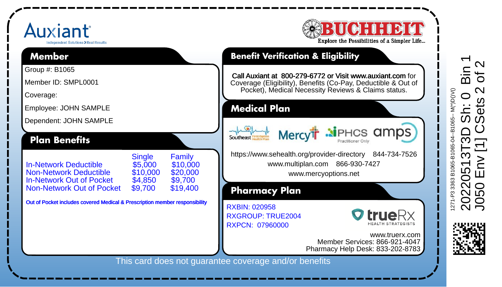## Auxiant dramsteet Solutions > Real Resu **Member**

Group #: B1065 Member ID: SMPL0001 Coverage:

Employee: JOHN SAMPLE Dependent: JOHN SAMPLE

Non-Network Out of Pocket

**Plan Benefits**



## **Benefit Verification & Eligibility**

Call Auxiant at 800-279-6772 or Visit www.auxiant.com for Coverage (Eligibility), Benefits (Co-Pay, Deductible & Out of Pocket), Medical Necessity Reviews & Claims status.

**Medical Plan**

Mercy<sup>t</sup> Mehrer and Determination of the Southern City

https://www.sehealth.org/provider-directory 844-734-7526 www.multiplan.com 866-930-7427

www.mercyoptions.net

**Pharmacy Plan**

RXGROUP: TRUE2004 RXPCN: 07960000 RXBIN: 020958



www.truerx.com Member Services: 866-921-4047 Pharmacy Help Desk: 833-202-8783

This card does not guarantee coverage and/or benefits





Single Family<br>\$5,000 \$10,000

In-Network Deductible \$5,000 \$10,000 Non-Network Deductible \$10,000 \$20,000 In-Network Out of Pocket \$4,850 \$9,700

Out of Pocket includes covered Medical & Prescription member responsibility